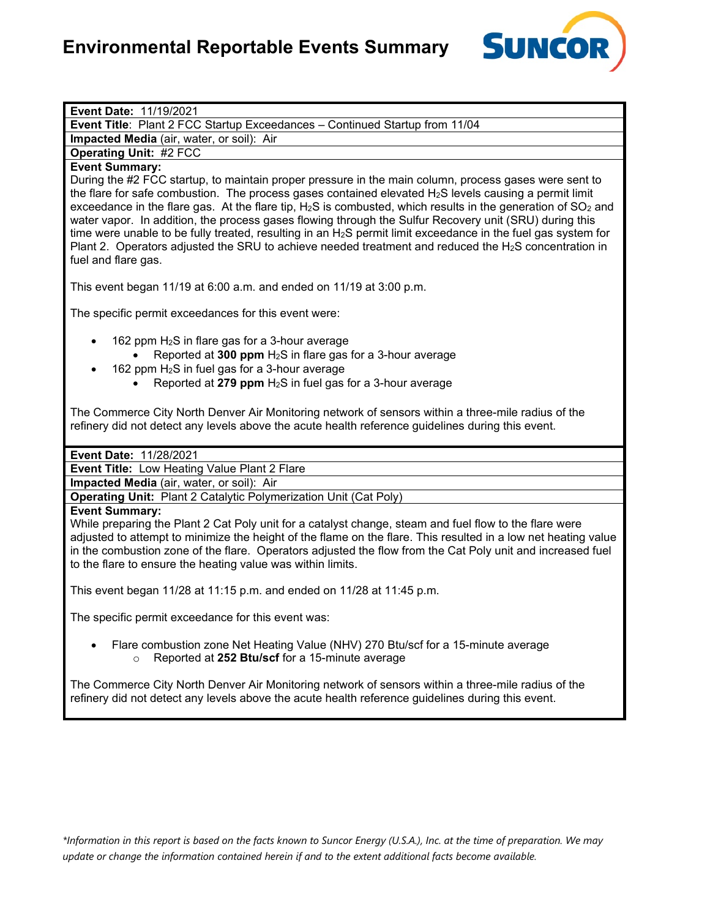

**Event Title**: Plant 2 FCC Startup Exceedances – Continued Startup from 11/04

**Impacted Media** (air, water, or soil): Air

**Operating Unit:** #2 FCC

# **Event Summary:**

During the #2 FCC startup, to maintain proper pressure in the main column, process gases were sent to the flare for safe combustion. The process gases contained elevated  $H_2S$  levels causing a permit limit exceedance in the flare gas. At the flare tip,  $H_2S$  is combusted, which results in the generation of  $SO_2$  and water vapor. In addition, the process gases flowing through the Sulfur Recovery unit (SRU) during this time were unable to be fully treated, resulting in an  $H_2S$  permit limit exceedance in the fuel gas system for Plant 2. Operators adjusted the SRU to achieve needed treatment and reduced the  $H_2S$  concentration in fuel and flare gas.

This event began 11/19 at 6:00 a.m. and ended on 11/19 at 3:00 p.m.

The specific permit exceedances for this event were:

- 162 ppm  $H_2S$  in flare gas for a 3-hour average
	- Reported at **300 ppm** H2S in flare gas for a 3-hour average
- $162$  ppm  $H<sub>2</sub>S$  in fuel gas for a 3-hour average
	- Reported at **279 ppm** H2S in fuel gas for a 3-hour average

The Commerce City North Denver Air Monitoring network of sensors within a three-mile radius of the refinery did not detect any levels above the acute health reference guidelines during this event.

## **Event Date:** 11/28/2021

**Event Title:** Low Heating Value Plant 2 Flare

**Impacted Media** (air, water, or soil): Air

**Operating Unit:** Plant 2 Catalytic Polymerization Unit (Cat Poly)

#### **Event Summary:**

While preparing the Plant 2 Cat Poly unit for a catalyst change, steam and fuel flow to the flare were adjusted to attempt to minimize the height of the flame on the flare. This resulted in a low net heating value in the combustion zone of the flare. Operators adjusted the flow from the Cat Poly unit and increased fuel to the flare to ensure the heating value was within limits.

This event began 11/28 at 11:15 p.m. and ended on 11/28 at 11:45 p.m.

The specific permit exceedance for this event was:

• Flare combustion zone Net Heating Value (NHV) 270 Btu/scf for a 15-minute average o Reported at **252 Btu/scf** for a 15-minute average

The Commerce City North Denver Air Monitoring network of sensors within a three-mile radius of the refinery did not detect any levels above the acute health reference guidelines during this event.